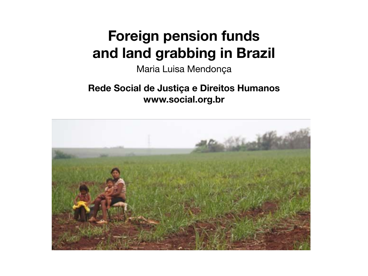### **Foreign pension funds and land grabbing in Brazil**

Maria Luisa Mendonça

**Rede Social de Justiça e Direitos Humanos www.social.org.br**

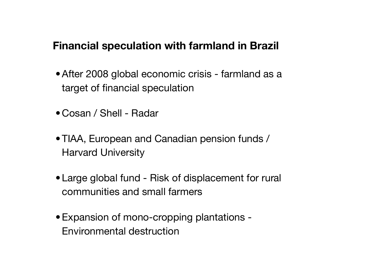#### **Financial speculation with farmland in Brazil**

- After 2008 global economic crisis farmland as a target of financial speculation
- Cosan / Shell Radar
- TIAA, European and Canadian pension funds / Harvard University
- Large global fund Risk of displacement for rural communities and small farmers
- •Expansion of mono-cropping plantations Environmental destruction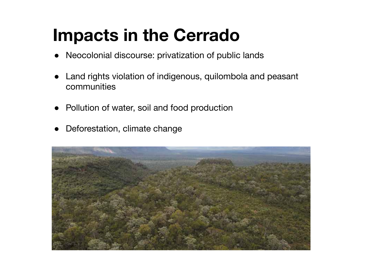## **Impacts in the Cerrado**

- Neocolonial discourse: privatization of public lands
- Land rights violation of indigenous, quilombola and peasant communities
- Pollution of water, soil and food production
- Deforestation, climate change

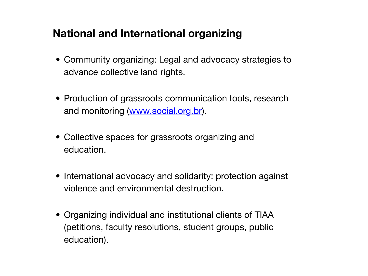### **National and International organizing**

- Community organizing: Legal and advocacy strategies to advance collective land rights.
- Production of grassroots communication tools, research and monitoring ([www.social.org.br\)](http://www.social.org.br).
- Collective spaces for grassroots organizing and education.
- International advocacy and solidarity: protection against violence and environmental destruction.
- Organizing individual and institutional clients of TIAA (petitions, faculty resolutions, student groups, public education).